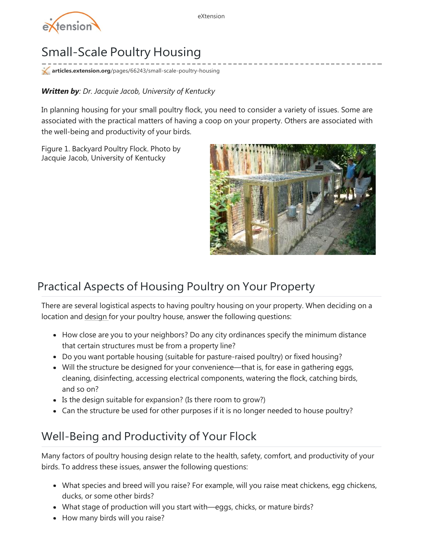

# Small-Scale Poultry Housing

**articles.extension.org**[/pages/66243/small-scale-poultry-housing](http://articles.extension.org/pages/66243/small-scale-poultry-housing)

#### *Written by: Dr. Jacquie Jacob, University of Kentucky*

In planning housing for your small poultry flock, you need to consider a variety of issues. Some are associated with the practical matters of having a coop on your property. Others are associated with the well-being and productivity of your birds.

Figure 1. Backyard Poultry Flock. Photo by Jacquie Jacob, University of Kentucky



#### Practical Aspects of Housing Poultry on Your Property

There are several logistical aspects to having poultry housing on your property. When deciding on a location and [design](http://articles.extension.org/pages/66117/house-design-for-small-and-backyard-poultry-flocks) for your poultry house, answer the following questions:

- How close are you to your neighbors? Do any city ordinances specify the minimum distance that certain structures must be from a property line?
- Do you want portable housing (suitable for pasture-raised poultry) or fixed housing?
- Will the structure be designed for your convenience—that is, for ease in gathering eggs, cleaning, disinfecting, accessing electrical components, watering the flock, catching birds, and so on?
- Is the design suitable for expansion? (Is there room to grow?)
- Can the structure be used for other purposes if it is no longer needed to house poultry?

#### Well-Being and Productivity of Your Flock

Many factors of poultry housing design relate to the health, safety, comfort, and productivity of your birds. To address these issues, answer the following questions:

- What species and breed will you raise? For example, will you raise meat chickens, egg chickens, ducks, or some other birds?
- What stage of production will you start with—eggs, chicks, or mature birds?
- How many birds will you raise?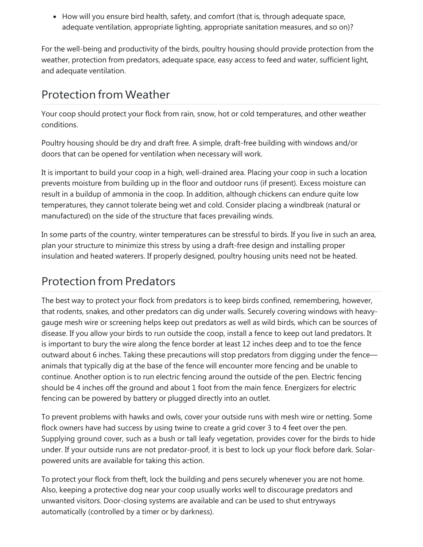• How will you ensure bird health, safety, and comfort (that is, through adequate space, adequate ventilation, appropriate lighting, appropriate sanitation measures, and so on)?

For the well-being and productivity of the birds, poultry housing should provide protection from the weather, protection from predators, adequate space, easy access to feed and water, sufficient light, and adequate ventilation.

## Protection from Weather

Your coop should protect your flock from rain, snow, hot or cold temperatures, and other weather conditions.

Poultry housing should be dry and draft free. A simple, draft-free building with windows and/or doors that can be opened for ventilation when necessary will work.

It is important to build your coop in a high, well-drained area. Placing your coop in such a location prevents moisture from building up in the floor and outdoor runs (if present). Excess moisture can result in a buildup of ammonia in the coop. In addition, although chickens can endure quite low temperatures, they cannot tolerate being wet and cold. Consider placing a windbreak (natural or manufactured) on the side of the structure that faces prevailing winds.

In some parts of the country, winter temperatures can be stressful to birds. If you live in such an area, plan your structure to minimize this stress by using a draft-free design and installing proper insulation and heated waterers. If properly designed, poultry housing units need not be heated.

## Protection from Predators

The best way to protect your flock from predators is to keep birds confined, remembering, however, that rodents, snakes, and other predators can dig under walls. Securely covering windows with heavygauge mesh wire or screening helps keep out predators as well as wild birds, which can be sources of disease. If you allow your birds to run outside the coop, install a fence to keep out land predators. It is important to bury the wire along the fence border at least 12 inches deep and to toe the fence outward about 6 inches. Taking these precautions will stop predators from digging under the fence animals that typically dig at the base of the fence will encounter more fencing and be unable to continue. Another option is to run electric fencing around the outside of the pen. Electric fencing should be 4 inches off the ground and about 1 foot from the main fence. Energizers for electric fencing can be powered by battery or plugged directly into an outlet.

To prevent problems with hawks and owls, cover your outside runs with mesh wire or netting. Some flock owners have had success by using twine to create a grid cover 3 to 4 feet over the pen. Supplying ground cover, such as a bush or tall leafy vegetation, provides cover for the birds to hide under. If your outside runs are not predator-proof, it is best to lock up your flock before dark. Solarpowered units are available for taking this action.

To protect your flock from theft, lock the building and pens securely whenever you are not home. Also, keeping a protective dog near your coop usually works well to discourage predators and unwanted visitors. Door-closing systems are available and can be used to shut entryways automatically (controlled by a timer or by darkness).